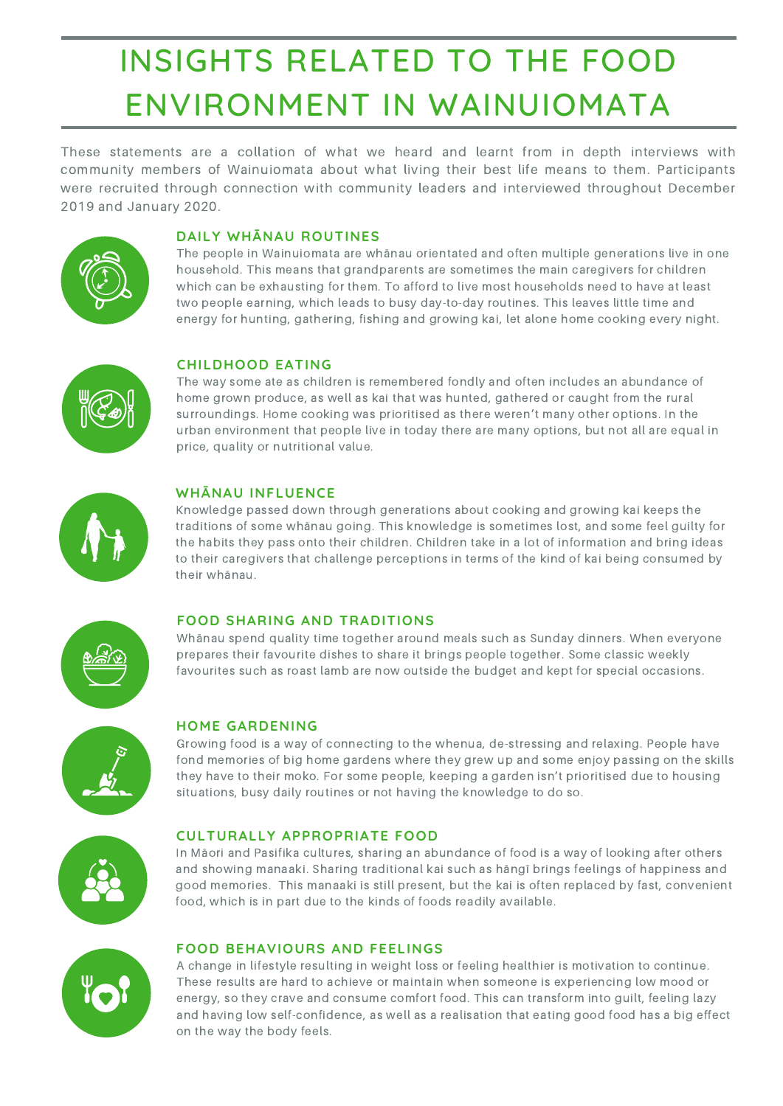Knowledge passed down through generations about cooking and growing kai keeps the traditions of some whānau going. This knowledge is sometimes lost, and some feel guilty for the habits they pass onto their children. Children take in a lot of information and bring ideas to their caregivers that challenge perceptions in terms of the kind of kai being consumed by their whānau.



# INSIGHTS RELATED TO THE FOOD ENVIRONMENT IN WAINUIOMATA

A change in lifestyle resulting in weight loss or feeling healthier is motivation to continue. These results are hard to achieve or maintain when someone is experiencing low mood or energy, so they crave and consume comfort food. This can transform into guilt, feeling lazy and having low self-confidence, as well as a realisation that eating good food has a big effect on the way the body feels.

In Māori and Pasifika cultures, sharing an abundance of food is a way of looking after others and showing manaaki. Sharing traditional kai such as hāngī brings feelings of happiness and good memories. This manaaki is still present, but the kai is often replaced by fast, convenient food, which is in part due to the kinds of foods readily available.



The people in Wainuiomata are whānau orientated and often multiple generations live in one household. This means that grandparents are sometimes the main caregivers for children which can be exhausting for them. To afford to live most households need to have at least two people earning, which leads to busy day-to-day routines. This leaves little time and energy for hunting, gathering, fishing and growing kai, let alone home cooking every night.



## **DAILY WHĀNAU ROUTINES**

## **WHĀNAU INFLUENCE**

The way some ate as children is remembered fondly and often includes an abundance of home grown produce, as well as kai that was hunted, gathered or caught from the rural surroundings. Home cooking was prioritised as there weren't many other options. In the urban environment that people live in today there are many options, but not all are equal in price, quality or nutritional value.



### **CHILDHOOD EATING**

Growing food is a way of connecting to the whenua, de-stressing and relaxing. People have fond memories of big home gardens where they grew up and some enjoy passing on the skills they have to their moko. For some people, keeping a garden isn't prioritised due to housing situations, busy daily routines or not having the knowledge to do so.



## **FOOD SHARING AND TRADITIONS**

Whānau spend quality time together around meals such as Sunday dinners. When everyone prepares their favourite dishes to share it brings people together. Some classic weekly favourites such as roast lamb are now outside the budget and kept for special occasions.



# **HOME GARDENING**

# **CULTURALLY APPROPRIATE FOOD**

## **FOOD BEHAVIOURS AND FEELINGS**

These statements are a collation of what we heard and learnt from in depth interviews with community members of Wainuiomata about what living their best life means to them. Participants were recruited through connection with community leaders and interviewed throughout December 2019 and January 2020.